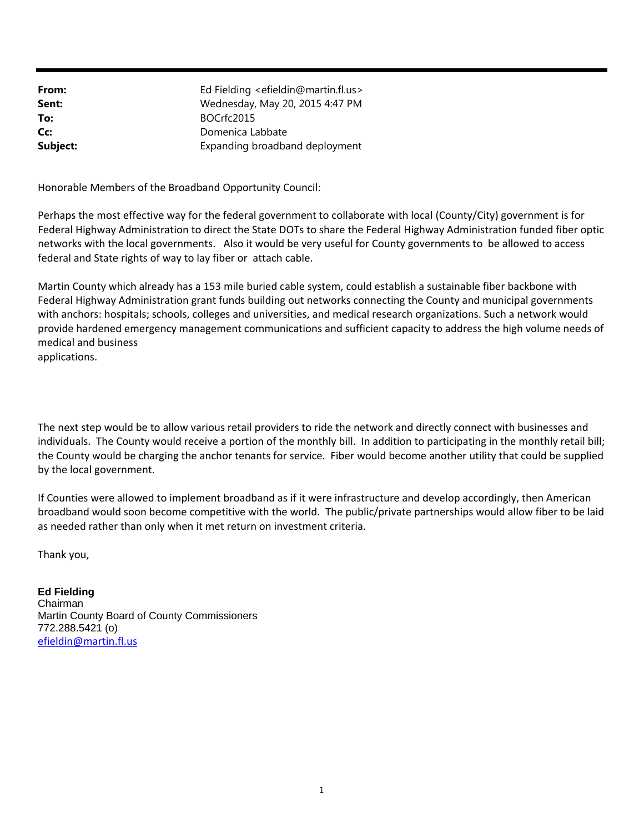**From:** Ed Fielding <efieldin@martin.fl.us> **Sent:** Wednesday, May 20, 2015 4:47 PM **To:** BOCrfc2015 **Cc:** Domenica Labbate **Subject:** Expanding broadband deployment

Honorable Members of the Broadband Opportunity Council:

Perhaps the most effective way for the federal government to collaborate with local (County/City) government is for Federal Highway Administration to direct the State DOTs to share the Federal Highway Administration funded fiber optic networks with the local governments. Also it would be very useful for County governments to be allowed to access federal and State rights of way to lay fiber or attach cable.

Martin County which already has a 153 mile buried cable system, could establish a sustainable fiber backbone with Federal Highway Administration grant funds building out networks connecting the County and municipal governments with anchors: hospitals; schools, colleges and universities, and medical research organizations. Such a network would provide hardened emergency management communications and sufficient capacity to address the high volume needs of medical and business applications.

The next step would be to allow various retail providers to ride the network and directly connect with businesses and individuals. The County would receive a portion of the monthly bill. In addition to participating in the monthly retail bill; the County would be charging the anchor tenants for service. Fiber would become another utility that could be supplied

by the local government. If Counties were allowed to implement broadband as if it were infrastructure and develop accordingly, then American broadband would soon become competitive with the world. The public/private partnerships would allow fiber to be laid

Thank you,

**Ed Fielding**  Chairman Martin County Board of County Commissioners 772.288.5421 (o) efieldin@martin.fl.us

as needed rather than only when it met return on investment criteria.